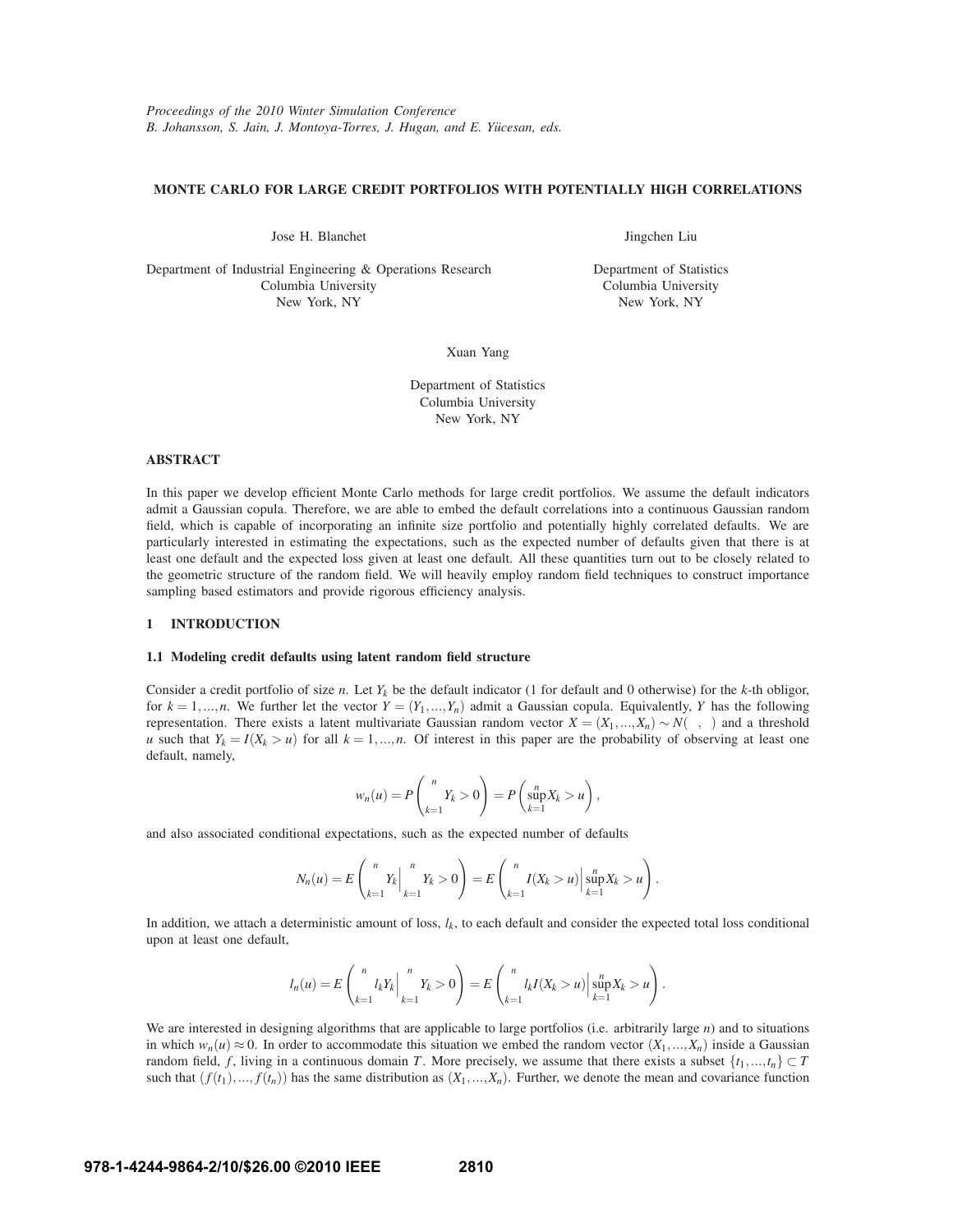# **MONTE CARLO FOR LARGE CREDIT PORTFOLIOS WITH POTENTIALLY HIGH CORRELATIONS**

Jose H. Blanchet

Department of Industrial Engineering & Operations Research Columbia University New York, NY

Jingchen Liu

Department of Statistics Columbia University New York, NY

Xuan Yang

Department of Statistics Columbia University New York, NY

# **ABSTRACT**

In this paper we develop efficient Monte Carlo methods for large credit portfolios. We assume the default indicators admit a Gaussian copula. Therefore, we are able to embed the default correlations into a continuous Gaussian random field, which is capable of incorporating an infinite size portfolio and potentially highly correlated defaults. We are particularly interested in estimating the expectations, such as the expected number of defaults given that there is at least one default and the expected loss given at least one default. All these quantities turn out to be closely related to the geometric structure of the random field. We will heavily employ random field techniques to construct importance sampling based estimators and provide rigorous efficiency analysis.

## **1 INTRODUCTION**

# **1.1 Modeling credit defaults using latent random field structure**

Consider a credit portfolio of size *n*. Let  $Y_k$  be the default indicator (1 for default and 0 otherwise) for the *k*-th obligor, for  $k = 1, \ldots, n$ . We further let the vector  $Y = (Y_1, \ldots, Y_n)$  admit a Gaussian copula. Equivalently, *Y* has the following representation. There exists a latent multivariate Gaussian random vector *X* = (*X*1,...,*Xn*) ∼ *N*(µ,Σ) and a threshold *u* such that  $Y_k = I(X_k > u)$  for all  $k = 1, ..., n$ . Of interest in this paper are the probability of observing at least one default, namely,

$$
w_n(u) = P\left(\sum_{k=1}^n Y_k > 0\right) = P\left(\sup_{k=1}^n X_k > u\right),
$$

and also associated conditional expectations, such as the expected number of defaults

$$
N_n(u) = E\left(\sum_{k=1}^n Y_k \Big| \sum_{k=1}^n Y_k > 0\right) = E\left(\sum_{k=1}^n I(X_k > u) \Big| \sup_{k=1}^n X_k > u\right).
$$

In addition, we attach a deterministic amount of loss,  $l_k$ , to each default and consider the expected total loss conditional upon at least one default,

$$
l_n(u) = E\left(\sum_{k=1}^n l_k Y_k \Big| \sum_{k=1}^n Y_k > 0\right) = E\left(\sum_{k=1}^n l_k I(X_k > u) \Big| \sup_{k=1}^n X_k > u\right).
$$

We are interested in designing algorithms that are applicable to large portfolios (i.e. arbitrarily large *n*) and to situations in which  $w_n(u) \approx 0$ . In order to accommodate this situation we embed the random vector  $(X_1,...,X_n)$  inside a Gaussian random field, *f*, living in a continuous domain *T*. More precisely, we assume that there exists a subset  $\{t_1, ..., t_n\} \subset T$ such that  $(f(t_1),..., f(t_n))$  has the same distribution as  $(X_1,...,X_n)$ . Further, we denote the mean and covariance function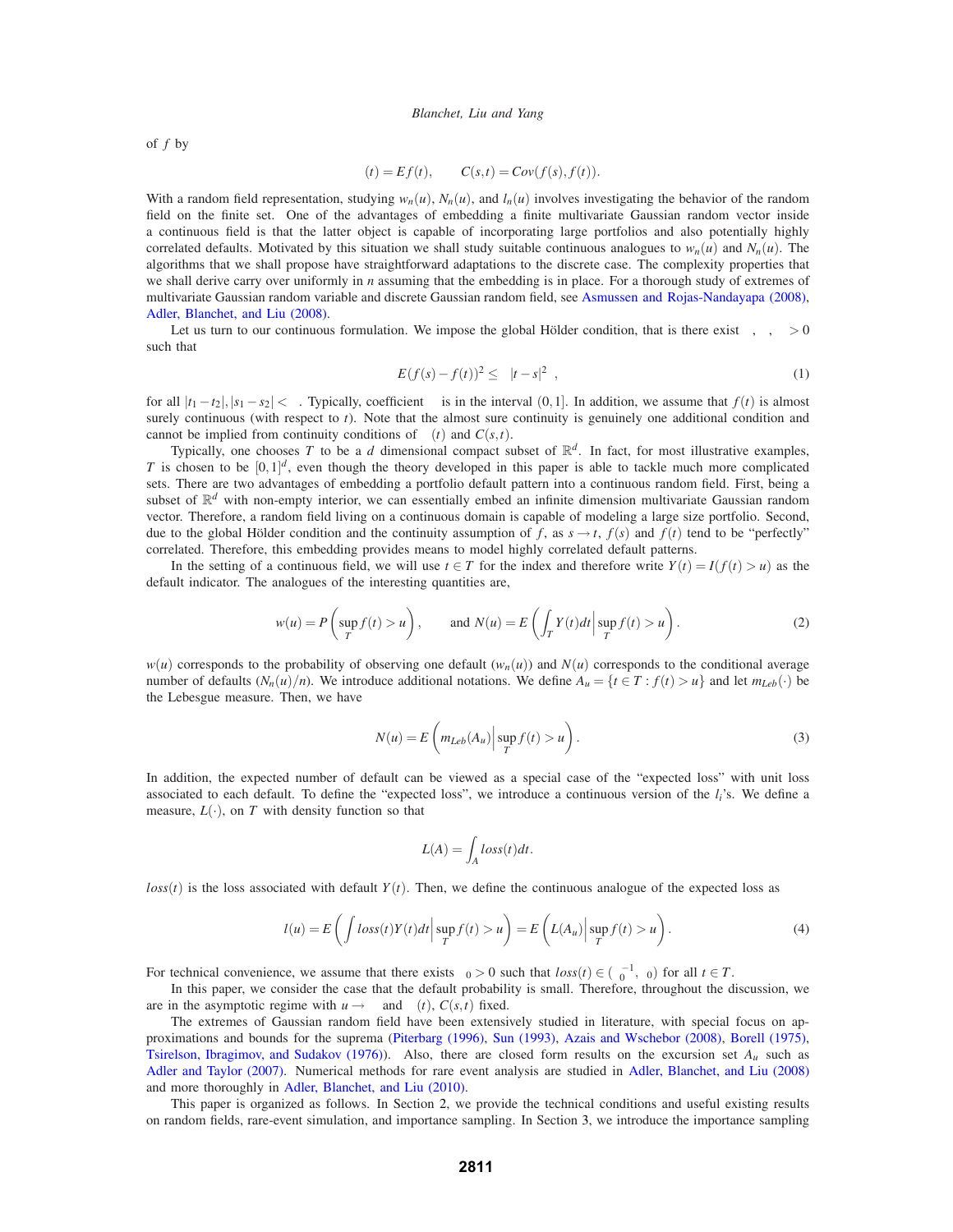of *f* by

$$
\mu(t) = Ef(t), \qquad C(s,t) = Cov(f(s), f(t)).
$$

With a random field representation, studying  $w_n(u)$ ,  $N_n(u)$ , and  $l_n(u)$  involves investigating the behavior of the random field on the finite set. One of the advantages of embedding a finite multivariate Gaussian random vector inside a continuous field is that the latter object is capable of incorporating large portfolios and also potentially highly correlated defaults. Motivated by this situation we shall study suitable continuous analogues to  $w_n(u)$  and  $N_n(u)$ . The algorithms that we shall propose have straightforward adaptations to the discrete case. The complexity properties that we shall derive carry over uniformly in *n* assuming that the embedding is in place. For a thorough study of extremes of multivariate Gaussian random variable and discrete Gaussian random field, see Asmussen and Rojas-Nandayapa (2008), Adler, Blanchet, and Liu (2008).

Let us turn to our continuous formulation. We impose the global Hölder condition, that is there exist  $\kappa$ ,  $\delta$ ,  $\beta$  > 0 such that

$$
E(f(s) - f(t))^2 \le \kappa |t - s|^{2\beta},\tag{1}
$$

for all  $|t_1 - t_2|, |s_1 - s_2| < δ$ . Typically, coefficient  $β$  is in the interval  $(0,1]$ . In addition, we assume that  $f(t)$  is almost surely continuous (with respect to *t*). Note that the almost sure continuity is genuinely one additional condition and cannot be implied from continuity conditions of  $\mu(t)$  and  $C(s,t)$ .

Typically, one chooses T to be a d dimensional compact subset of  $\mathbb{R}^d$ . In fact, for most illustrative examples, *T* is chosen to be  $[0,1]^d$ , even though the theory developed in this paper is able to tackle much more complicated sets. There are two advantages of embedding a portfolio default pattern into a continuous random field. First, being a subset of  $\mathbb{R}^d$  with non-empty interior, we can essentially embed an infinite dimension multivariate Gaussian random vector. Therefore, a random field living on a continuous domain is capable of modeling a large size portfolio. Second, due to the global Hölder condition and the continuity assumption of f, as  $s \rightarrow t$ ,  $f(s)$  and  $f(t)$  tend to be "perfectly" correlated. Therefore, this embedding provides means to model highly correlated default patterns.

In the setting of a continuous field, we will use  $t \in T$  for the index and therefore write  $Y(t) = I(f(t) > u)$  as the default indicator. The analogues of the interesting quantities are,

$$
w(u) = P\left(\sup_T f(t) > u\right), \quad \text{and } N(u) = E\left(\int_T Y(t)dt \Big| \sup_T f(t) > u\right). \tag{2}
$$

 $w(u)$  corresponds to the probability of observing one default  $(w_n(u))$  and  $N(u)$  corresponds to the conditional average number of defaults  $(N_n(u)/n)$ . We introduce additional notations. We define  $A_u = \{t \in T : f(t) > u\}$  and let  $m_{Leb}(\cdot)$  be the Lebesgue measure. Then, we have

$$
N(u) = E\left(m_{Leb}(A_u) \middle| \sup_T f(t) > u\right).
$$
\n(3)

In addition, the expected number of default can be viewed as a special case of the "expected loss" with unit loss associated to each default. To define the "expected loss", we introduce a continuous version of the *li*'s. We define a measure,  $L(\cdot)$ , on *T* with density function so that

$$
L(A) = \int_A \log(s) dt.
$$

 $loss(t)$  is the loss associated with default  $Y(t)$ . Then, we define the continuous analogue of the expected loss as

$$
l(u) = E\left(\int \log(t)Y(t)dt \Big| \sup_T f(t) > u\right) = E\left(L(A_u) \Big| \sup_T f(t) > u\right). \tag{4}
$$

For technical convenience, we assume that there exists  $\delta_0 > 0$  such that  $loss(t) \in (\delta_0^{-1}, \delta_0)$  for all  $t \in T$ .

In this paper, we consider the case that the default probability is small. Therefore, throughout the discussion, we are in the asymptotic regime with  $u \rightarrow \infty$  and  $\mu(t)$ ,  $C(s,t)$  fixed.

The extremes of Gaussian random field have been extensively studied in literature, with special focus on approximations and bounds for the suprema (Piterbarg (1996), Sun (1993), Azais and Wschebor (2008), Borell (1975), Tsirelson, Ibragimov, and Sudakov (1976)). Also, there are closed form results on the excursion set *Au* such as Adler and Taylor (2007). Numerical methods for rare event analysis are studied in Adler, Blanchet, and Liu (2008) and more thoroughly in Adler, Blanchet, and Liu (2010).

This paper is organized as follows. In Section 2, we provide the technical conditions and useful existing results on random fields, rare-event simulation, and importance sampling. In Section 3, we introduce the importance sampling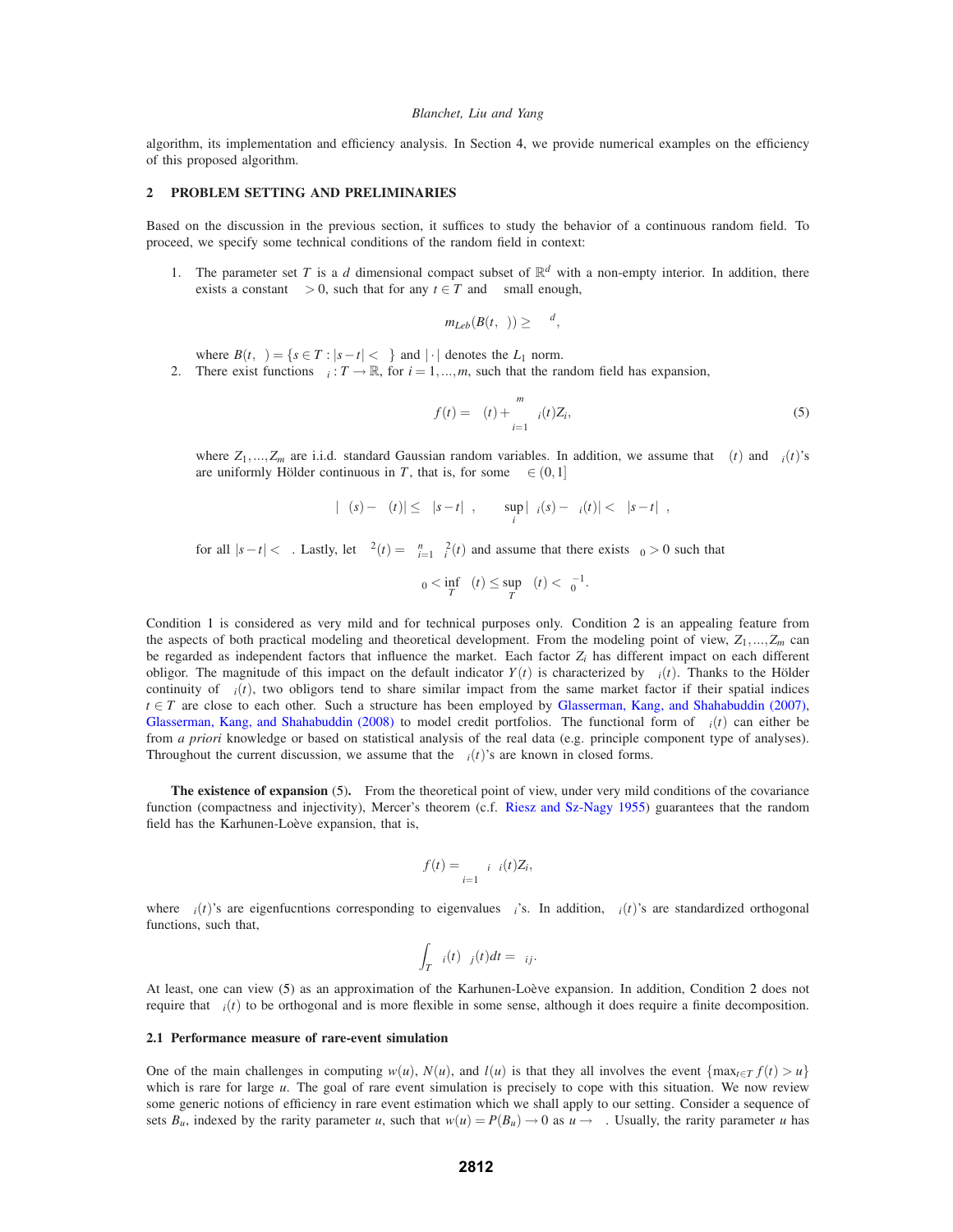algorithm, its implementation and efficiency analysis. In Section 4, we provide numerical examples on the efficiency of this proposed algorithm.

# **2 PROBLEM SETTING AND PRELIMINARIES**

Based on the discussion in the previous section, it suffices to study the behavior of a continuous random field. To proceed, we specify some technical conditions of the random field in context:

1. The parameter set *T* is a *d* dimensional compact subset of  $\mathbb{R}^d$  with a non-empty interior. In addition, there exists a constant  $\kappa > 0$ , such that for any  $t \in T$  and  $\varepsilon$  small enough,

$$
m_{Leb}(B(t,\varepsilon)) \geq \kappa \varepsilon^d,
$$

where  $B(t, \varepsilon) = \{s \in T : |s - t| < \varepsilon\}$  and  $|\cdot|$  denotes the  $L_1$  norm.

2. There exist functions  $\sigma_i : T \to \mathbb{R}$ , for  $i = 1, ..., m$ , such that the random field has expansion,

$$
f(t) = \mu(t) + \sum_{i=1}^{m} \sigma_i(t) Z_i,
$$
\n
$$
(5)
$$

where  $Z_1, \ldots, Z_m$  are i.i.d. standard Gaussian random variables. In addition, we assume that  $\mu(t)$  and  $\sigma_i(t)$ 's are uniformly Hölder continuous in T, that is, for some  $\beta \in (0,1]$ 

$$
|\mu(s)-\mu(t)|\leq \kappa|s-t|^\beta, \qquad \sup_i|\sigma_i(s)-\sigma_i(t)|<\kappa|s-t|^\beta,
$$

for all  $|s-t| < \delta$ . Lastly, let  $\sigma^2(t) = \sum_{i=1}^n \sigma_i^2(t)$  and assume that there exists  $\varepsilon_0 > 0$  such that

$$
\varepsilon_0 < \inf_T \sigma(t) \le \sup_T \sigma(t) < \varepsilon_0^{-1}.
$$

Condition 1 is considered as very mild and for technical purposes only. Condition 2 is an appealing feature from the aspects of both practical modeling and theoretical development. From the modeling point of view,  $Z_1, \ldots, Z_m$  can be regarded as independent factors that influence the market. Each factor  $Z_i$  has different impact on each different obligor. The magnitude of this impact on the default indicator  $Y(t)$  is characterized by  $\sigma_i(t)$ . Thanks to the Hölder continuity of  $\sigma_i(t)$ , two obligors tend to share similar impact from the same market factor if their spatial indices  $t \in T$  are close to each other. Such a structure has been employed by Glasserman, Kang, and Shahabuddin (2007), Glasserman, Kang, and Shahabuddin (2008) to model credit portfolios. The functional form of  $\sigma_i(t)$  can either be from *a priori* knowledge or based on statistical analysis of the real data (e.g. principle component type of analyses). Throughout the current discussion, we assume that the  $\sigma_i(t)$ 's are known in closed forms.

**The existence of expansion** (5)**.** From the theoretical point of view, under very mild conditions of the covariance function (compactness and injectivity), Mercer's theorem (c.f. Riesz and Sz-Nagy 1955) guarantees that the random field has the Karhunen-Loève expansion, that is,

$$
f(t) = \sum_{i=1}^{\infty} \lambda_i \varphi_i(t) Z_i,
$$

where  $\varphi_i(t)$ 's are eigenfucntions corresponding to eigenvalues  $\lambda_i$ 's. In addition,  $\varphi_i(t)$ 's are standardized orthogonal functions, such that,

$$
\int_T \varphi_i(t)\varphi_j(t)dt=\delta_{ij}.
$$

At least, one can view (5) as an approximation of the Karhunen-Loève expansion. In addition, Condition 2 does not require that  $σ<sub>i</sub>(t)$  to be orthogonal and is more flexible in some sense, although it does require a finite decomposition.

## **2.1 Performance measure of rare-event simulation**

One of the main challenges in computing  $w(u)$ ,  $N(u)$ , and  $l(u)$  is that they all involves the event  $\{\max_{t \in T} f(t) > u\}$ which is rare for large *u*. The goal of rare event simulation is precisely to cope with this situation. We now review some generic notions of efficiency in rare event estimation which we shall apply to our setting. Consider a sequence of sets  $B_u$ , indexed by the rarity parameter *u*, such that  $w(u) = P(B_u) \to 0$  as  $u \to \infty$ . Usually, the rarity parameter *u* has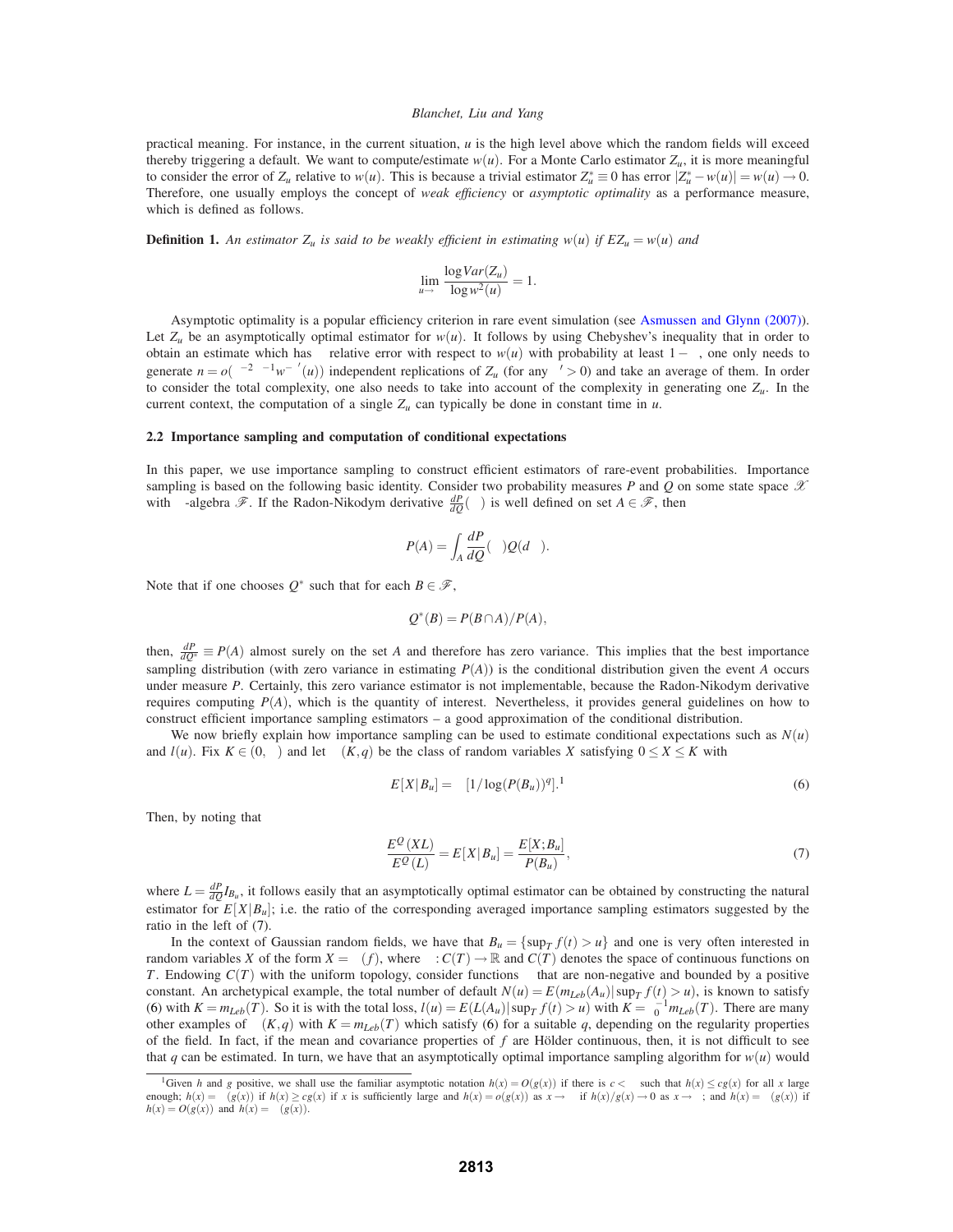practical meaning. For instance, in the current situation, *u* is the high level above which the random fields will exceed thereby triggering a default. We want to compute/estimate  $w(u)$ . For a Monte Carlo estimator  $Z_u$ , it is more meaningful to consider the error of  $Z_u$  relative to  $w(u)$ . This is because a trivial estimator  $Z_u^* \equiv 0$  has error  $|Z_u^* - w(u)| = w(u) \to 0$ . Therefore, one usually employs the concept of *weak efficiency* or *asymptotic optimality* as a performance measure, which is defined as follows.

**Definition 1.** An estimator  $Z_u$  is said to be weakly efficient in estimating  $w(u)$  if  $EZ_u = w(u)$  and

$$
\lim_{u \to \infty} \frac{\log Var(Z_u)}{\log w^2(u)} = 1.
$$

Asymptotic optimality is a popular efficiency criterion in rare event simulation (see Asmussen and Glynn (2007)). Let  $Z_u$  be an asymptotically optimal estimator for  $w(u)$ . It follows by using Chebyshev's inequality that in order to obtain an estimate which has  $\varepsilon$  relative error with respect to  $w(u)$  with probability at least  $1-\delta$ , one only needs to generate  $n = o(\varepsilon^{-2} \delta^{-1} w^{-\varepsilon'}(u))$  independent replications of  $Z_u$  (for any  $\varepsilon' > 0$ ) and take an average of them. In order to consider the total complexity, one also needs to take into account of the complexity in generating one *Zu*. In the current context, the computation of a single  $Z_u$  can typically be done in constant time in  $u$ .

## **2.2 Importance sampling and computation of conditional expectations**

In this paper, we use importance sampling to construct efficient estimators of rare-event probabilities. Importance sampling is based on the following basic identity. Consider two probability measures  $P$  and  $Q$  on some state space  $X$ with  $\sigma$ -algebra  $\mathscr{F}$ . If the Radon-Nikodym derivative  $\frac{dP}{dQ}(\omega)$  is well defined on set  $A \in \mathscr{F}$ , then

$$
P(A) = \int_A \frac{dP}{dQ}(\omega)Q(d\omega).
$$

Note that if one chooses  $Q^*$  such that for each  $B \in \mathcal{F}$ ,

$$
Q^*(B) = P(B \cap A)/P(A),
$$

then,  $\frac{dP}{dQ^*} \equiv P(A)$  almost surely on the set *A* and therefore has zero variance. This implies that the best importance sampling distribution (with zero variance in estimating  $P(A)$ ) is the conditional distribution given the event *A* occurs under measure *P*. Certainly, this zero variance estimator is not implementable, because the Radon-Nikodym derivative requires computing *P*(*A*), which is the quantity of interest. Nevertheless, it provides general guidelines on how to construct efficient importance sampling estimators – a good approximation of the conditional distribution.

We now briefly explain how importance sampling can be used to estimate conditional expectations such as  $N(u)$ and  $l(u)$ . Fix  $K \in (0, \infty)$  and let  $\chi(K,q)$  be the class of random variables X satisfying  $0 \le X \le K$  with

$$
E[X|B_u] = \Omega[1/\log(P(B_u))^q].
$$
\n(6)

Then, by noting that

$$
\frac{E^{\mathcal{Q}}(XL)}{E^{\mathcal{Q}}(L)} = E[X|B_u] = \frac{E[X;B_u]}{P(B_u)},
$$
\n<sup>(7)</sup>

where  $L = \frac{dP}{dQ}I_{B_u}$ , it follows easily that an asymptotically optimal estimator can be obtained by constructing the natural estimator for  $E[X|B_u]$ ; i.e. the ratio of the corresponding averaged importance sampling estimators suggested by the ratio in the left of (7).

In the context of Gaussian random fields, we have that  $B_u = \{\sup_T f(t) > u\}$  and one is very often interested in random variables *X* of the form  $X = \Gamma(f)$ , where  $\Gamma: C(T) \to \mathbb{R}$  and  $C(T)$  denotes the space of continuous functions on *T*. Endowing *C*(*T*) with the uniform topology, consider functions Γ that are non-negative and bounded by a positive constant. An archetypical example, the total number of default  $N(u) = E(m_{Leb}(A_u) | \sup_T f(t) > u)$ , is known to satisfy (6) with  $K = m_{Leb}(T)$ . So it is with the total loss,  $l(u) = E(L(A_u)) \sup_T f(t) > u$  with  $K = \varepsilon_0^{-1} m_{Leb}(T)$ . There are many other examples of  $\chi(K,q)$  with  $K = m_{Leb}(T)$  which satisfy (6) for a suitable q, depending on the regularity properties of the field. In fact, if the mean and covariance properties of  $f$  are Hölder continuous, then, it is not difficult to see that *q* can be estimated. In turn, we have that an asymptotically optimal importance sampling algorithm for  $w(u)$  would

<sup>&</sup>lt;sup>1</sup>Given h and g positive, we shall use the familiar asymptotic notation  $h(x) = O(g(x))$  if there is  $c < \infty$  such that  $h(x) \le cg(x)$  for all x large enough;  $h(x) = \Omega(g(x))$  if  $h(x) \ge cg(x)$  if x is sufficiently large and  $h(x) = o(g(x))$  as  $x \to \infty$  if  $h(x)/g(x) \to 0$  as  $x \to \infty$ ; and  $h(x) = \Theta(g(x))$  if  $h(x) = O(g(x))$  and  $h(x) = \Omega(g(x)).$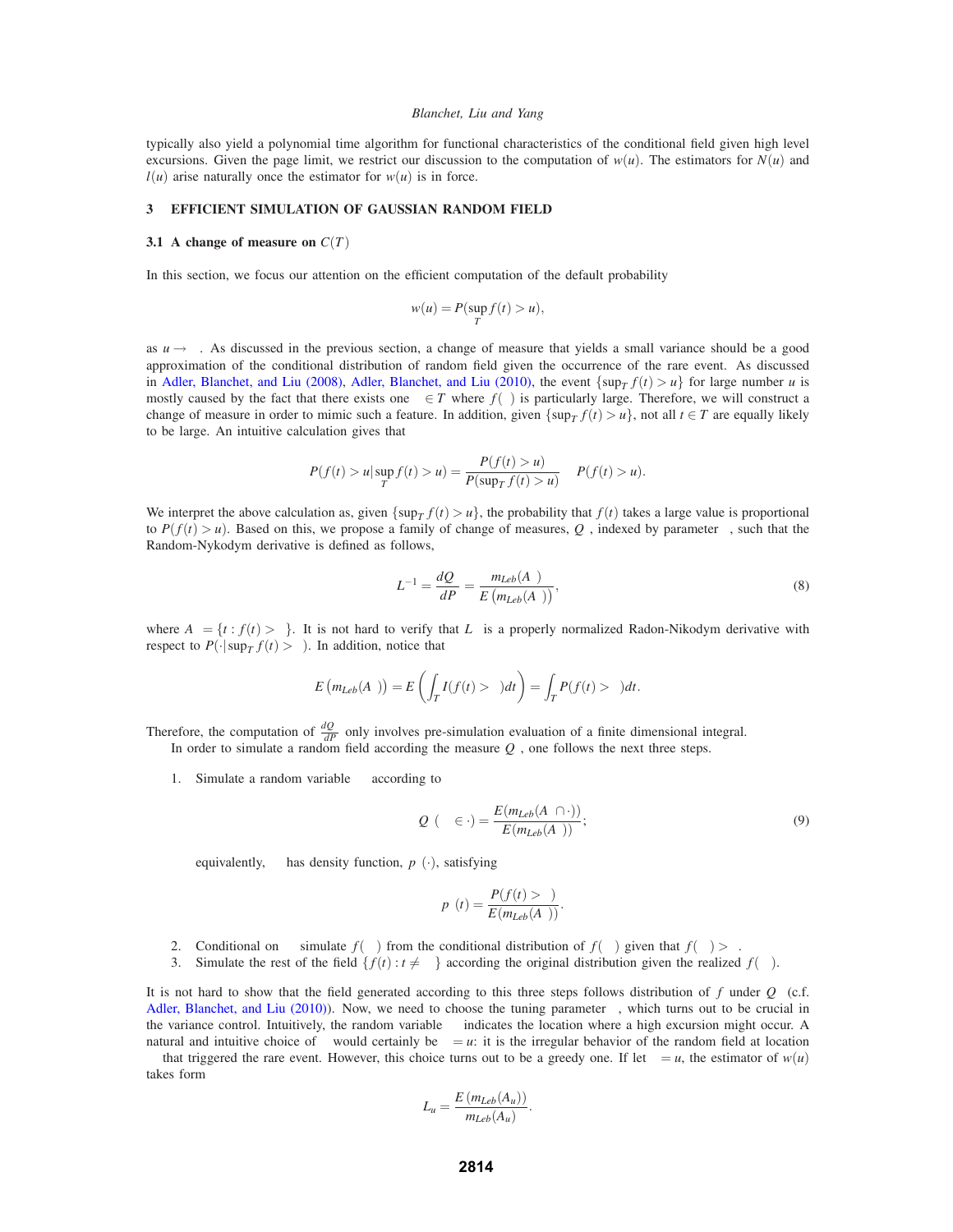typically also yield a polynomial time algorithm for functional characteristics of the conditional field given high level excursions. Given the page limit, we restrict our discussion to the computation of  $w(u)$ . The estimators for  $N(u)$  and  $l(u)$  arise naturally once the estimator for  $w(u)$  is in force.

## **3 EFFICIENT SIMULATION OF GAUSSIAN RANDOM FIELD**

#### **3.1** A change of measure on  $C(T)$

In this section, we focus our attention on the efficient computation of the default probability

$$
w(u) = P(\sup_T f(t) > u),
$$

as  $u \rightarrow \infty$ . As discussed in the previous section, a change of measure that yields a small variance should be a good approximation of the conditional distribution of random field given the occurrence of the rare event. As discussed in Adler, Blanchet, and Liu (2008), Adler, Blanchet, and Liu (2010), the event  $\{\sup_T f(t) > u\}$  for large number *u* is mostly caused by the fact that there exists one  $\tau \in T$  where  $f(\tau)$  is particularly large. Therefore, we will construct a change of measure in order to mimic such a feature. In addition, given  $\{\sup_{T} f(t) > u\}$ , not all  $t \in T$  are equally likely to be large. An intuitive calculation gives that

$$
P(f(t) > u | \sup_{T} f(t) > u) = \frac{P(f(t) > u)}{P(\sup_{T} f(t) > u)} \propto P(f(t) > u).
$$

We interpret the above calculation as, given  $\{\sup_T f(t) > u\}$ , the probability that  $f(t)$  takes a large value is proportional to *P*( $f(t) > u$ ). Based on this, we propose a family of change of measures,  $Q<sub>γ</sub>$ , indexed by parameter  $γ$ , such that the Random-Nykodym derivative is defined as follows,

$$
L_{\gamma}^{-1} = \frac{dQ_{\gamma}}{dP} = \frac{m_{Leb}(A_{\gamma})}{E\left(m_{Leb}(A_{\gamma})\right)},\tag{8}
$$

where  $A_\gamma = \{t : f(t) > \gamma\}$ . It is not hard to verify that  $L_\gamma$  is a properly normalized Radon-Nikodym derivative with respect to  $P(\cdot | \sup_T f(t) > \gamma)$ . In addition, notice that

$$
E\left(m_{Leb}(A_{\gamma})\right) = E\left(\int_{T} I(f(t) > \gamma)dt\right) = \int_{T} P(f(t) > \gamma)dt.
$$

Therefore, the computation of  $\frac{dQ_{\gamma}}{dP}$  only involves pre-simulation evaluation of a finite dimensional integral. In order to simulate a random field according the measure  $Q<sub>\gamma</sub>$ , one follows the next three steps.

1. Simulate a random variable  $\tau_{\gamma}$  according to

$$
Q_{\gamma}(\tau_{\gamma} \in \cdot) = \frac{E(m_{Leb}(A_{\gamma} \cap \cdot))}{E(m_{Leb}(A_{\gamma}))};
$$
\n(9)

equivalently,  $\tau_{\gamma}$  has density function,  $p_{\gamma}(\cdot)$ , satisfying

$$
p_{\gamma}(t) = \frac{P(f(t) > \gamma)}{E(m_{Leb}(A_{\gamma}))}.
$$

- 2. Conditional on  $\tau_\gamma$  simulate  $f(\tau_\gamma)$  from the conditional distribution of  $f(\tau_\gamma)$  given that  $f(\tau_\gamma) > \gamma$ .
- 3. Simulate the rest of the field  $\{f(t): t \neq \tau_\gamma\}$  according the original distribution given the realized  $f(\tau_\gamma)$ .

It is not hard to show that the field generated according to this three steps follows distribution of *f* under  $Q_\gamma$  (c.f. Adler, Blanchet, and Liu (2010)). Now, we need to choose the tuning parameter  $\gamma$ , which turns out to be crucial in the variance control. Intuitively, the random variable  $\tau<sub>\gamma</sub>$  indicates the location where a high excursion might occur. A natural and intuitive choice of γ would certainly be  $\gamma = u$ : it is the irregular behavior of the random field at location  $\tau_{\gamma}$  that triggered the rare event. However, this choice turns out to be a greedy one. If let  $\gamma = u$ , the estimator of  $w(u)$ takes form

$$
L_u = \frac{E(m_{Leb}(A_u))}{m_{Leb}(A_u)}.
$$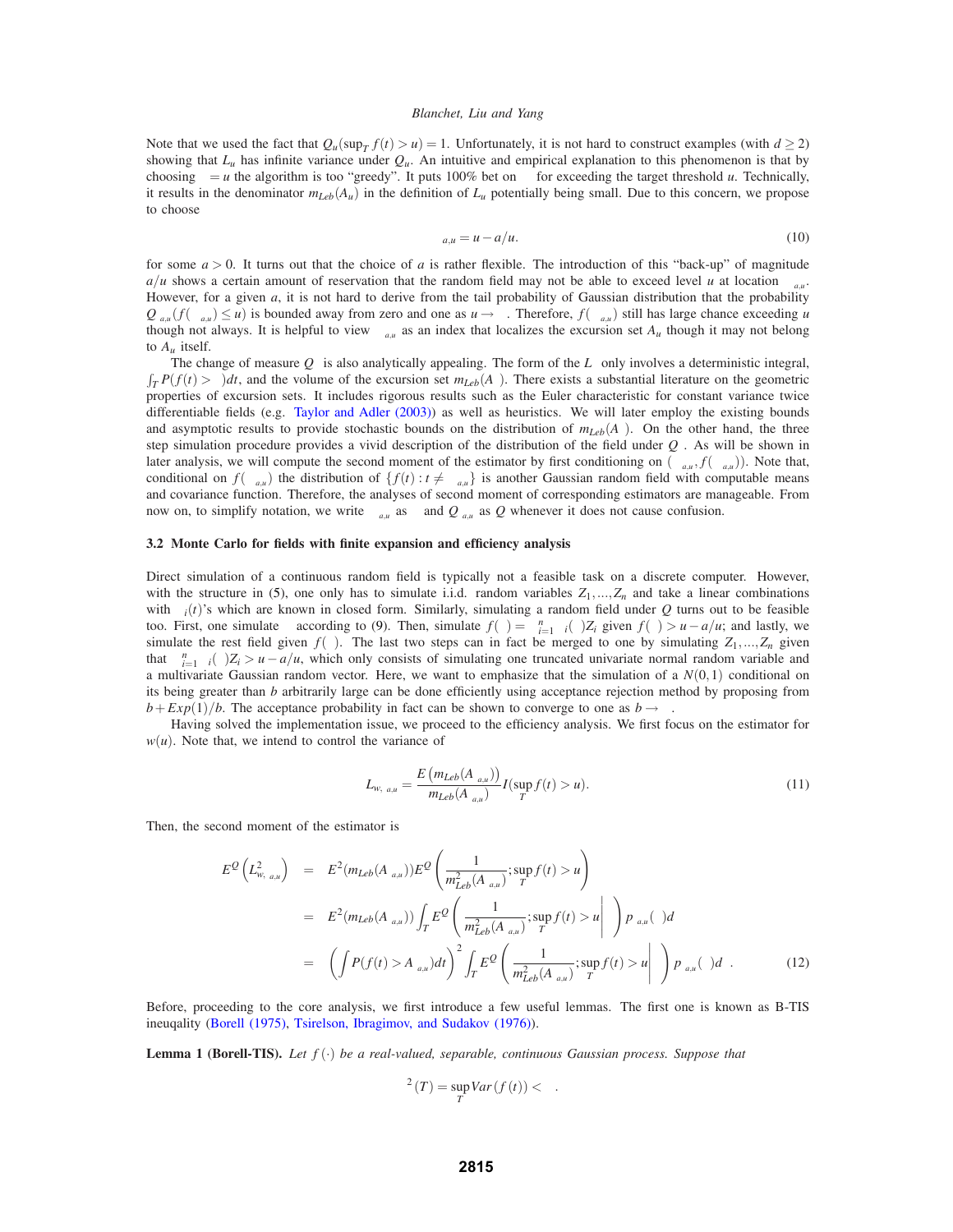Note that we used the fact that  $Q_u(\sup_T f(t) > u) = 1$ . Unfortunately, it is not hard to construct examples (with  $d \ge 2$ ) showing that  $L_u$  has infinite variance under  $Q_u$ . An intuitive and empirical explanation to this phenomenon is that by choosing  $\gamma = u$  the algorithm is too "greedy". It puts 100% bet on  $\tau_{\gamma}$  for exceeding the target threshold *u*. Technically, it results in the denominator  $m_{Leb}(A_u)$  in the definition of  $L_u$  potentially being small. Due to this concern, we propose to choose

$$
\gamma_{a,u} = u - a/u. \tag{10}
$$

for some  $a > 0$ . It turns out that the choice of *a* is rather flexible. The introduction of this "back-up" of magnitude *a/u* shows a certain amount of reservation that the random field may not be able to exceed level *u* at location  $\tau_{\gamma_0}$ . However, for a given *a*, it is not hard to derive from the tail probability of Gaussian distribution that the probability  $Q_{\gamma_{a,u}}(f(\tau_{\gamma_{a,u}}) \leq u)$  is bounded away from zero and one as  $u \to \infty$ . Therefore,  $f(\tau_{\gamma_{a,u}})$  still has large chance exceeding *u* though not always. It is helpful to view  $\tau_{\gamma_{a,u}}$  as an index that localizes the excursion set  $A_u$  though it may not belong to  $A_u$  itself.

The change of measure  $Q<sub>\gamma</sub>$  is also analytically appealing. The form of the  $L<sub>\gamma</sub>$  only involves a deterministic integral,  $\int_T P(f(t) > \gamma) dt$ , and the volume of the excursion set  $m_{Leb}(A_\gamma)$ . There exists a substantial literature on the geometric properties of excursion sets. It includes rigorous results such as the Euler characteristic for constant variance twice differentiable fields (e.g. Taylor and Adler (2003)) as well as heuristics. We will later employ the existing bounds and asymptotic results to provide stochastic bounds on the distribution of  $m_{Leb}(A<sub>\gamma</sub>)$ . On the other hand, the three step simulation procedure provides a vivid description of the distribution of the field under  $Q<sub>γ</sub>$ . As will be shown in later analysis, we will compute the second moment of the estimator by first conditioning on  $(\tau_{\gamma_{a\mu}}, f(\tau_{\gamma_{a\mu}}))$ . Note that, conditional on  $f(\tau_{\chi_{a,u}})$  the distribution of  $\{f(t): t \neq \tau_{\chi_{a,u}}\}$  is another Gaussian random field with computable means and covariance function. Therefore, the analyses of second moment of corresponding estimators are manageable. From now on, to simplify notation, we write  $\tau_{\gamma_{a,u}}$  as  $\tau$  and  $Q_{\gamma_{a,u}}$  as  $Q$  whenever it does not cause confusion.

# **3.2 Monte Carlo for fields with finite expansion and efficiency analysis**

Direct simulation of a continuous random field is typically not a feasible task on a discrete computer. However, with the structure in (5), one only has to simulate i.i.d. random variables  $Z_1, ..., Z_n$  and take a linear combinations with <sup>σ</sup>*i*(*t*)'s which are known in closed form. Similarly, simulating a random field under *Q* turns out to be feasible too. First, one simulate  $\tau$  according to (9). Then, simulate  $f(\tau) = \sum_{i=1}^{n} \sigma_i(\tau) Z_i$  given  $f(\tau) > u - a/u$ ; and lastly, we simulate the rest field given  $f(\tau)$ . The last two steps can in fact be merged to one by simulating  $Z_1, ..., Z_n$  given that  $\sum_{i=1}^{n} \sigma_i(\tau) Z_i > u - a/u$ , which only consists of simulating one truncated univariate normal random variable and a multivariate Gaussian random vector. Here, we want to emphasize that the simulation of a  $N(0,1)$  conditional on its being greater than *b* arbitrarily large can be done efficiently using acceptance rejection method by proposing from  $b + Exp(1)/b$ . The acceptance probability in fact can be shown to converge to one as  $b \rightarrow \infty$ .

Having solved the implementation issue, we proceed to the efficiency analysis. We first focus on the estimator for  $w(u)$ . Note that, we intend to control the variance of

$$
L_{w,\gamma_{a,u}} = \frac{E(m_{Leb}(A_{\gamma_{a,u}}))}{m_{Leb}(A_{\gamma_{a,u}})} I(\sup_{T} f(t) > u).
$$
 (11)

Then, the second moment of the estimator is

$$
E^{Q}\left(L_{w,\gamma_{a,u}}^{2}\right) = E^{2}(m_{Leb}(A_{\gamma_{a,u}}))E^{Q}\left(\frac{1}{m_{Leb}^{2}(A_{\gamma_{a,u}})};\sup_{T}f(t) > u\right)
$$
  
\n
$$
= E^{2}(m_{Leb}(A_{\gamma_{a,u}}))\int_{T}E^{Q}\left(\frac{1}{m_{Leb}^{2}(A_{\gamma_{a,u}})};\sup_{T}f(t) > u\right|\tau\right)p_{\gamma_{a,u}}(\tau)d\tau
$$
  
\n
$$
= \left(\int P(f(t) > A_{\gamma_{a,u}})dt\right)^{2}\int_{T}E^{Q}\left(\frac{1}{m_{Leb}^{2}(A_{\gamma_{a,u}})};\sup_{T}f(t) > u\right|\tau\right)p_{\gamma_{a,u}}(\tau)d\tau.
$$
 (12)

Before, proceeding to the core analysis, we first introduce a few useful lemmas. The first one is known as B-TIS ineuqality (Borell (1975), Tsirelson, Ibragimov, and Sudakov (1976)).

**Lemma 1 (Borell-TIS).** *Let f* (·) *be a real-valued, separable, continuous Gaussian process. Suppose that*

$$
\sigma^2(T) = \sup_T Var(f(t)) < \infty.
$$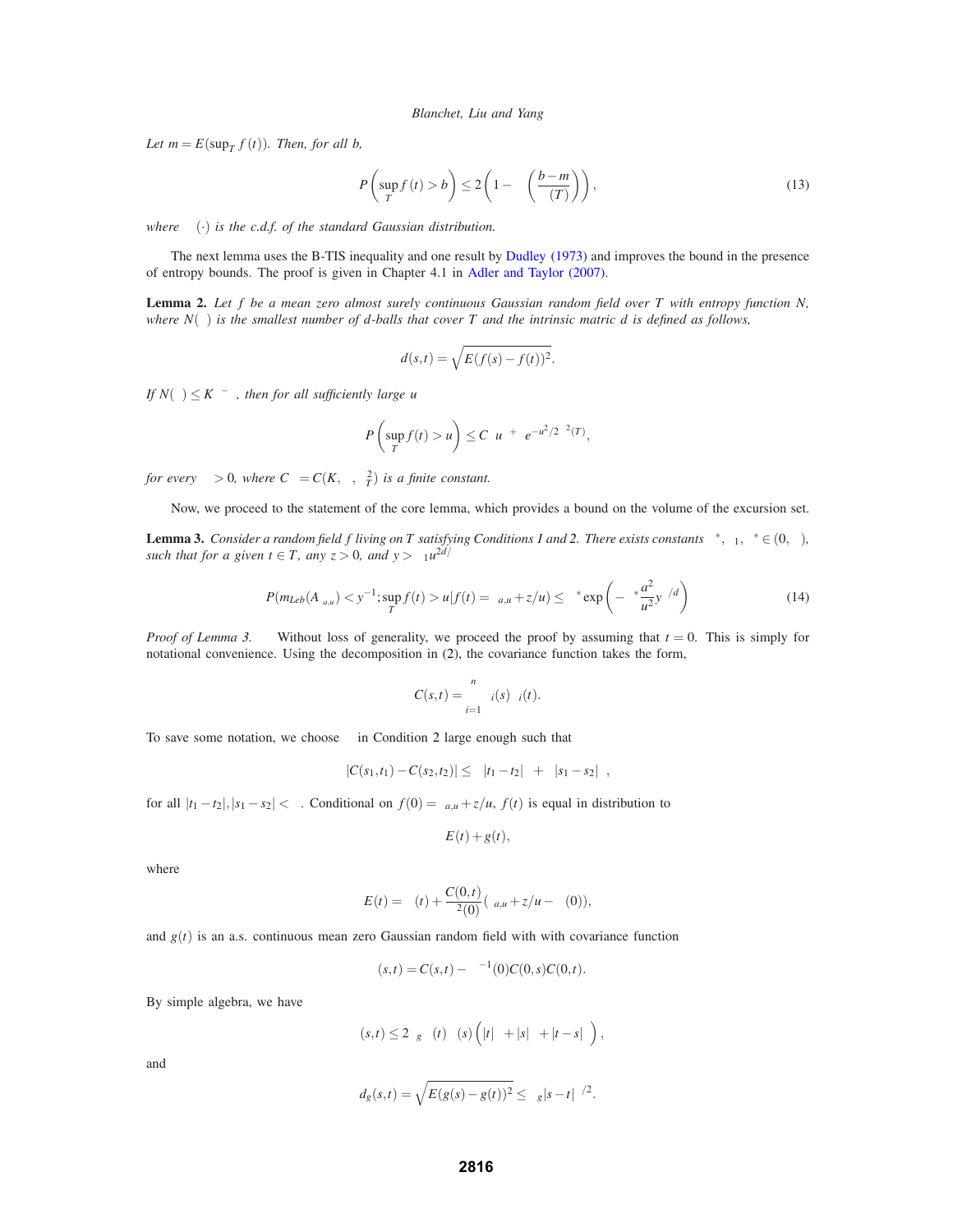*Let*  $m = E(\sup_T f(t))$ *. Then, for all b,* 

$$
P\left(\sup_{T} f(t) > b\right) \le 2\left(1 - \Phi\left(\frac{b-m}{\sigma(T)}\right)\right),\tag{13}
$$

*where* Φ(·) *is the c.d.f. of the standard Gaussian distribution.*

The next lemma uses the B-TIS inequality and one result by Dudley (1973) and improves the bound in the presence of entropy bounds. The proof is given in Chapter 4.1 in Adler and Taylor (2007).

**Lemma 2.** *Let f be a mean zero almost surely continuous Gaussian random field over T with entropy function N, where*  $N(\varepsilon)$  *is the smallest number of d-balls that cover T and the intrinsic matric d is defined as follows,* 

$$
d(s,t) = \sqrt{E(f(s) - f(t))^2}.
$$

*If*  $N(\varepsilon) \leq K \varepsilon^{-\alpha}$ *, then for all sufficiently large u* 

$$
P\left(\sup_T f(t) > u\right) \leq C_\alpha u^{\alpha + \eta} e^{-u^2/2\sigma^2(T)},
$$

*for every*  $\eta > 0$ , where  $C_{\alpha} = C(K, \alpha, \sigma_T^2)$  *is a finite constant.* 

Now, we proceed to the statement of the core lemma, which provides a bound on the volume of the excursion set.

**Lemma 3.** *Consider a random field f living on T satisfying Conditions 1 and 2. There exists constants*  $\kappa^*, \kappa_1, \delta^* \in (0, \infty)$ *, such that for a given*  $t \in T$ *, any*  $z > 0$ *, and*  $y > \kappa_1 u^{2d/\beta}$ 

$$
P(m_{Leb}(A_{\gamma_{a,u}}) < y^{-1}; \sup_{T} f(t) > u | f(t) = \gamma_{a,u} + z/u) \le \kappa^* \exp\left(-\delta^* \frac{a^2}{u^2} y^{\beta/d}\right) \tag{14}
$$

*Proof of Lemma 3.* Without loss of generality, we proceed the proof by assuming that  $t = 0$ . This is simply for notational convenience. Using the decomposition in (2), the covariance function takes the form,

$$
C(s,t)=\sum_{i=1}^n\sigma_i(s)\sigma_i(t).
$$

To save some notation, we choose  $\kappa$  in Condition 2 large enough such that

$$
|C(s_1,t_1)-C(s_2,t_2)|\leq \kappa |t_1-t_2|^{\beta}+\kappa |s_1-s_2|^{\beta},
$$

for all  $|t_1 - t_2|, |s_1 - s_2| < \delta$ . Conditional on  $f(0) = \gamma_{a,u} + z/u$ ,  $f(t)$  is equal in distribution to

$$
E(t) + g(t),
$$

where

$$
E(t) = \mu(t) + \frac{C(0,t)}{\sigma^2(0)}(\gamma_{a,u} + z/u - \mu(0)),
$$

and  $g(t)$  is an a.s. continuous mean zero Gaussian random field with with covariance function

$$
\Gamma(s,t) = C(s,t) - \sigma^{-1}(0)C(0,s)C(0,t).
$$

By simple algebra, we have

$$
\Gamma(s,t) \leq 2\kappa_g \sigma(t)\sigma(s) \left( |t|^{\beta} + |s|^{\beta} + |t-s|^{\beta} \right),
$$

and

$$
d_g(s,t) = \sqrt{E(g(s) - g(t))^2} \le \kappa_g |s - t|^{\beta/2}.
$$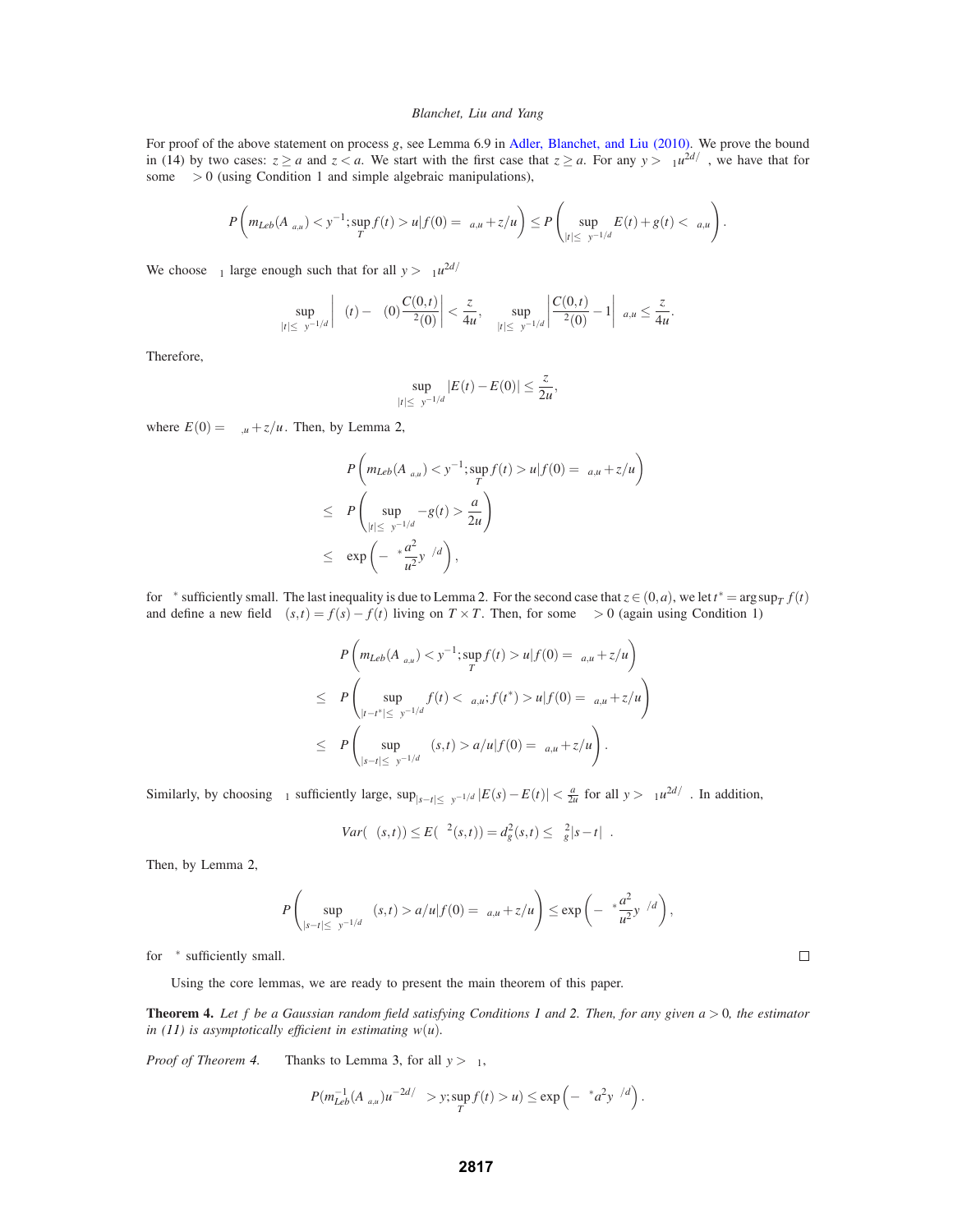For proof of the above statement on process *g*, see Lemma 6.9 in Adler, Blanchet, and Liu (2010). We prove the bound in (14) by two cases:  $z \ge a$  and  $z < a$ . We start with the first case that  $z \ge a$ . For any  $y > \kappa_1 u^{2d/\beta}$ , we have that for some  $\lambda > 0$  (using Condition 1 and simple algebraic manipulations),

$$
P\left(m_{Leb}(A_{\gamma_{a,u}}) < y^{-1}; \sup_{T} f(t) > u | f(0) = \gamma_{a,u} + z/u\right) \leq P\left(\sup_{|t| \leq \lambda y^{-1/d}} E(t) + g(t) < \gamma_{a,u}\right).
$$

We choose  $\kappa_1$  large enough such that for all  $y > \kappa_1 u^{2d/\beta}$ 

$$
\sup_{|t|\leq \lambda y^{-1/d}}\left|\mu(t)-\mu(0)\frac{C(0,t)}{\sigma^2(0)}\right|<\frac{z}{4u},\quad \sup_{|t|\leq \lambda y^{-1/d}}\left|\frac{C(0,t)}{\sigma^2(0)}-1\right|\gamma_{a,u}\leq \frac{z}{4u}.
$$

Therefore,

$$
\sup_{|t|\leq \lambda y^{-1/d}}|E(t)-E(0)|\leq \frac{z}{2u},
$$

where  $E(0) = \gamma_{\alpha,\mu} + z/u$ . Then, by Lemma 2,

$$
P\left(m_{Leb}(A_{\gamma_{a,u}}) < y^{-1}; \sup_{T} f(t) > u | f(0) = \gamma_{a,u} + z/u\right)
$$
\n
$$
\leq P\left(\sup_{|t| \leq \lambda y^{-1/d}} -g(t) > \frac{a}{2u}\right)
$$
\n
$$
\leq \exp\left(-\delta^* \frac{a^2}{u^2} y^{\beta/d}\right),
$$

for  $\delta^*$  sufficiently small. The last inequality is due to Lemma 2. For the second case that  $z \in (0, a)$ , we let  $t^* = \arg \sup_T f(t)$ and define a new field  $\xi(s,t) = f(s) - f(t)$  living on  $T \times T$ . Then, for some  $\lambda > 0$  (again using Condition 1)

$$
P\left(m_{Leb}(A_{\gamma_{a,u}}) < y^{-1}; \sup_{T} f(t) > u | f(0) = \gamma_{a,u} + z/u\right)
$$
\n
$$
\leq P\left(\sup_{|t-t^*| \leq \lambda y^{-1/d}} f(t) < \gamma_{a,u}; f(t^*) > u | f(0) = \gamma_{a,u} + z/u\right)
$$
\n
$$
\leq P\left(\sup_{|s-t| \leq \lambda y^{-1/d}} \xi(s,t) > a/u | f(0) = \gamma_{a,u} + z/u\right).
$$

Similarly, by choosing  $\kappa_1$  sufficiently large,  $\sup_{|s-t| \leq \lambda} |E(s) - E(t)| < \frac{a}{2u}$  for all  $y > \kappa_1 u^{2d/\beta}$ . In addition,

$$
Var(\xi(s,t)) \le E(\xi^2(s,t)) = d_g^2(s,t) \le \kappa_g^2 |s-t|^\beta.
$$

Then, by Lemma 2,

$$
P\left(\sup_{|s-t|\leq \lambda y^{-1/d}} \xi(s,t) > a/u|f(0) = \gamma_{a,u} + z/u\right) \leq \exp\left(-\delta^* \frac{a^2}{u^2} y^{\beta/d}\right),
$$

for  $\delta^*$  sufficiently small.

Using the core lemmas, we are ready to present the main theorem of this paper.

**Theorem 4.** *Let f be a Gaussian random field satisfying Conditions 1 and 2. Then, for any given a* > 0*, the estimator in* (11) is asymptotically efficient in estimating  $w(u)$ .

*Proof of Theorem 4.* Thanks to Lemma 3, for all  $y > \kappa_1$ ,

$$
P(m_{Leb}^{-1}(A_{\gamma_{a,u}})u^{-2d/\beta} > y; \sup_T f(t) > u) \le \exp\left(-\delta^* a^2 y^{\beta/d}\right).
$$

 $\Box$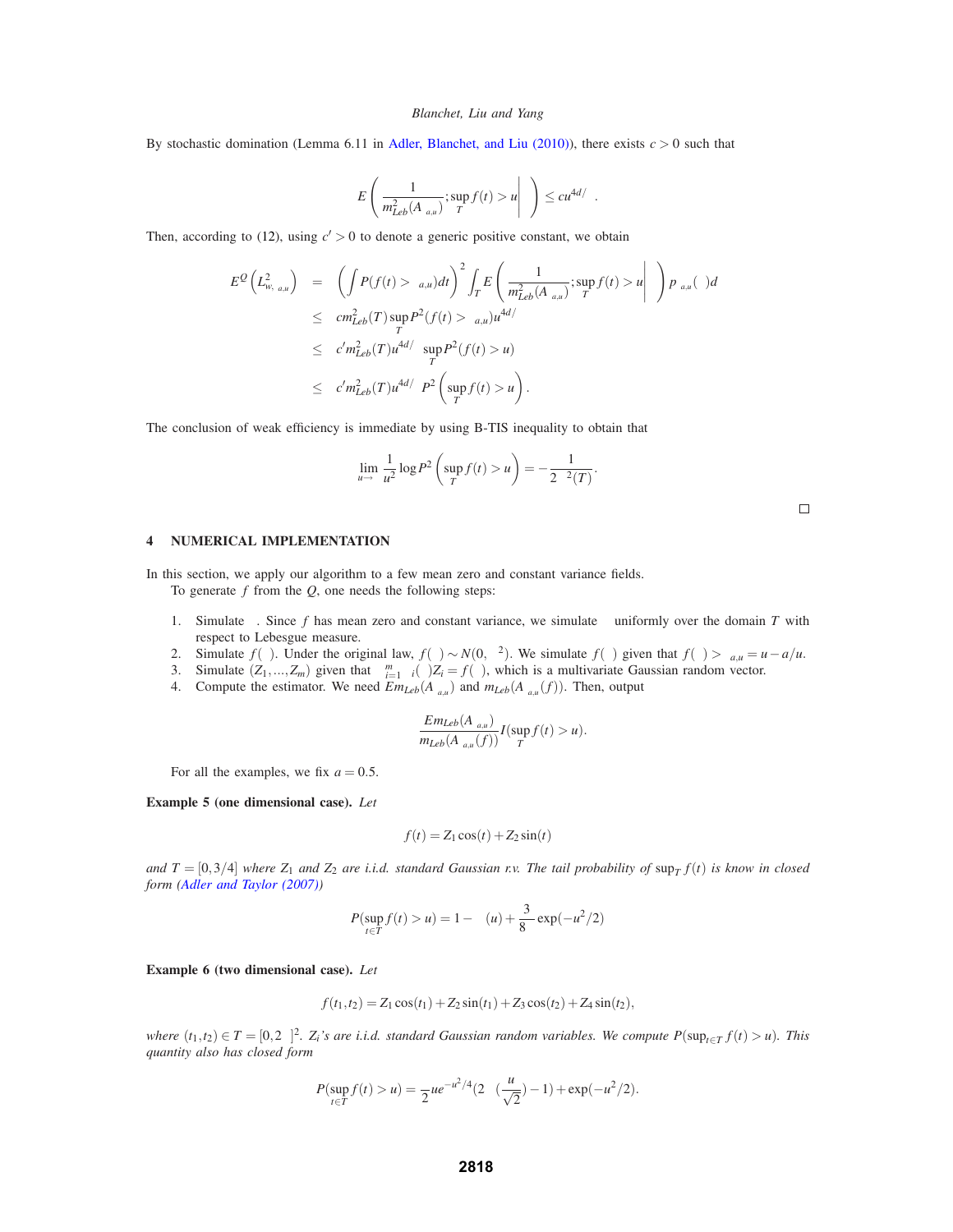By stochastic domination (Lemma 6.11 in Adler, Blanchet, and Liu (2010)), there exists  $c > 0$  such that

$$
E\left(\frac{1}{m_{Leb}^2(A_{\gamma_{a,u}})};\sup_T f(t) > u \middle| \tau\right) \leq c u^{4d/\beta}.
$$

Then, according to (12), using  $c' > 0$  to denote a generic positive constant, we obtain

$$
E^{Q}\left(L^{2}_{w,\gamma_{a,u}}\right) = \left(\int P(f(t) > \gamma_{a,u})dt\right)^{2} \int_{T} E\left(\frac{1}{m_{Leb}^{2}(A_{\gamma_{a,u}})}; \sup_{T} f(t) > u \middle| \tau\right) p_{\gamma_{a,u}}(\tau) d\tau
$$
  
\n
$$
\leq cn_{Leb}^{2}(T) \sup_{T} P^{2}(f(t) > \gamma_{a,u}) u^{4d/\beta}
$$
  
\n
$$
\leq c' m_{Leb}^{2}(T) u^{4d/\beta} \sup_{T} P^{2}(f(t) > u)
$$
  
\n
$$
\leq c' m_{Leb}^{2}(T) u^{4d/\beta} P^{2}\left(\sup_{T} f(t) > u\right).
$$

The conclusion of weak efficiency is immediate by using B-TIS inequality to obtain that

$$
\lim_{u \to \infty} \frac{1}{u^2} \log P^2 \left( \sup_T f(t) > u \right) = -\frac{1}{2\sigma^2(T)}.
$$

**4 NUMERICAL IMPLEMENTATION**

In this section, we apply our algorithm to a few mean zero and constant variance fields. To generate *f* from the *Q*, one needs the following steps:

- 1. Simulate  $\tau$ . Since f has mean zero and constant variance, we simulate  $\tau$  uniformly over the domain T with respect to Lebesgue measure.
- 2. Simulate  $f(\tau)$ . Under the original law,  $f(\tau) \sim N(0, \sigma^2)$ . We simulate  $f(\tau)$  given that  $f(\tau) > \gamma_{a,\mu} = u a/u$ .
- 3. Simulate  $(Z_1,...,Z_m)$  given that  $\sum_{i=1}^m \sigma_i(\tau)Z_i = f(\tau)$ , which is a multivariate Gaussian random vector.
- 4. Compute the estimator. We need  $Em_{Leb}(A_{\gamma_{a,u}})$  and  $m_{Leb}(A_{\gamma_{a,u}}(f))$ . Then, output

$$
\frac{Em_{Leb}(A_{\gamma_{a,u}})}{m_{Leb}(A_{\gamma_{a,u}}(f))}I(\sup_T f(t) > u).
$$

For all the examples, we fix  $a = 0.5$ .

**Example 5 (one dimensional case).** *Let*

$$
f(t) = Z_1 \cos(t) + Z_2 \sin(t)
$$

*and*  $T = [0,3/4]$  *where*  $Z_1$  *and*  $Z_2$  *are i.i.d. standard Gaussian r.v. The tail probability of*  $\sup_T f(t)$  *is know in closed form (Adler and Taylor (2007))*

$$
P(\sup_{t \in T} f(t) > u) = 1 - \Phi(u) + \frac{3}{8\pi} \exp(-u^2/2)
$$

**Example 6 (two dimensional case).** *Let*

$$
f(t_1,t_2) = Z_1 \cos(t_1) + Z_2 \sin(t_1) + Z_3 \cos(t_2) + Z_4 \sin(t_2),
$$

*where*  $(t_1, t_2) \in T = [0, 2\pi]^2$ .  $Z_i$ 's are i.i.d. standard Gaussian random variables. We compute  $P(\sup_{t \in T} f(t) > u)$ . This *quantity also has closed form*

$$
P(\sup_{t \in T} f(t) > u) = \frac{\pi}{2} u e^{-u^2/4} (2\Phi(\frac{u}{\sqrt{2}}) - 1) + \exp(-u^2/2).
$$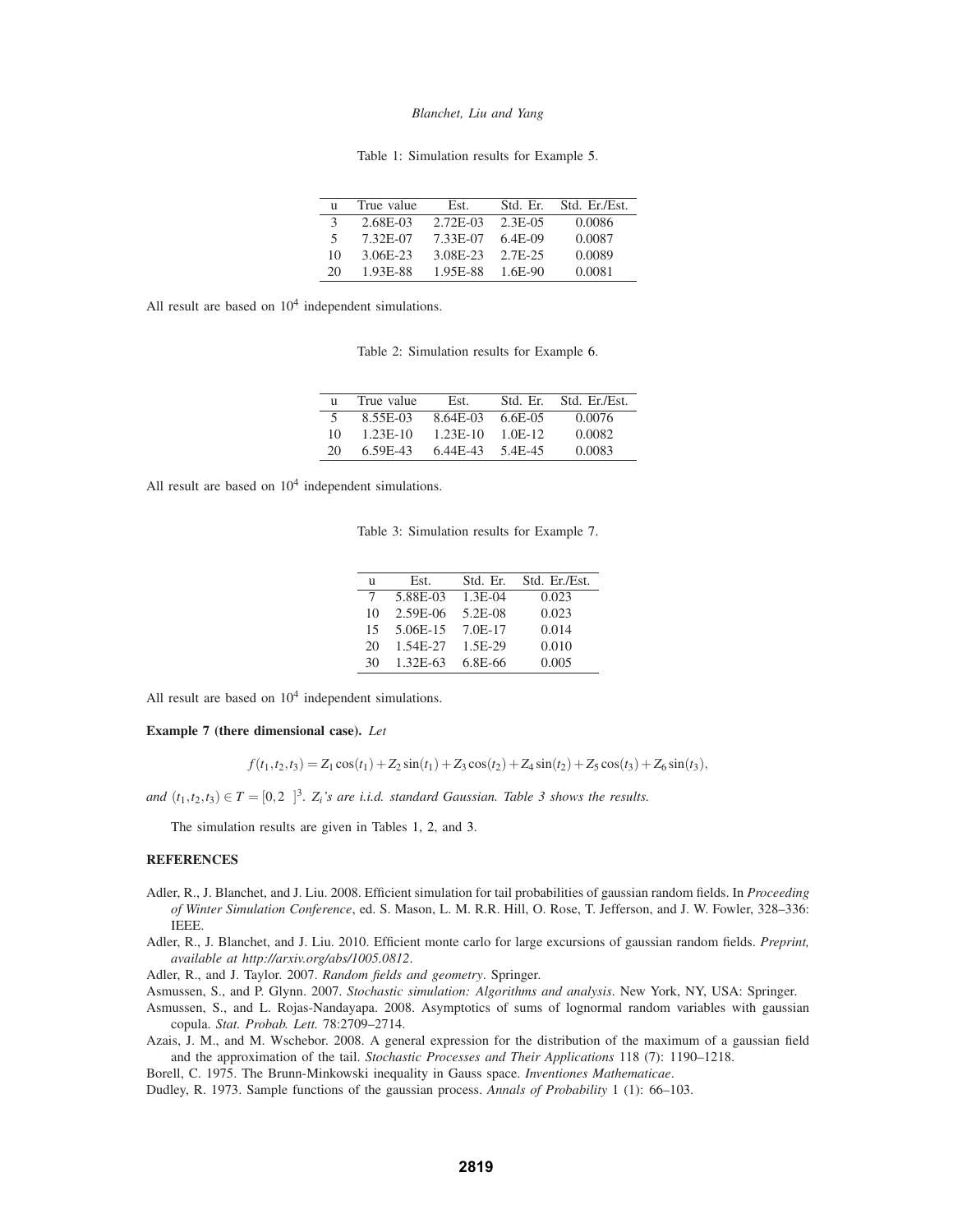Table 1: Simulation results for Example 5.

| n  | True value | Est.     | Std. Er.  | Std. Er./Est. |
|----|------------|----------|-----------|---------------|
| 3  | 2.68E-03   | 2.72E-03 | $2.3E-05$ | 0.0086        |
| 5. | 7.32E-07   | 7.33E-07 | $6.4E-09$ | 0.0087        |
| 10 | 3.06E-23   | 3.08E-23 | 2.7F-25   | 0.0089        |
| 20 | 1.93E-88   | 1.95E-88 | 1.6E-90   | 0.0081        |

All result are based on  $10<sup>4</sup>$  independent simulations.

Table 2: Simulation results for Example 6.

|    | True value | Est.       | Std. Er.   | Std. Er./Est. |
|----|------------|------------|------------|---------------|
|    | 8.55E-03   | 8.64E-03   | $6.6E-0.5$ | 0.0076        |
| 10 | $1.23E-10$ | $1.23E-10$ | $1.0E-12.$ | 0.0082        |
| 20 | 6.59E-43   | 6.44E-43   | 5.4E-45    | 0.0083        |

All result are based on  $10<sup>4</sup>$  independent simulations.

Table 3: Simulation results for Example 7.

| n  | Est.     | Std. Er.  | Std. Er./Est. |
|----|----------|-----------|---------------|
| 7  | 5.88E-03 | $1.3E-04$ | 0.023         |
| 10 | 2.59E-06 | 5.2E-08   | 0.023         |
| 15 | 5.06E-15 | 7.0E-17   | 0.014         |
| 20 | 1.54E-27 | 1.5E-29   | 0.010         |
| 30 | 1.32E-63 | 6.8E-66   | 0.005         |

All result are based on  $10<sup>4</sup>$  independent simulations.

**Example 7 (there dimensional case).** *Let*

 $f(t_1, t_2, t_3) = Z_1 \cos(t_1) + Z_2 \sin(t_1) + Z_3 \cos(t_2) + Z_4 \sin(t_2) + Z_5 \cos(t_3) + Z_6 \sin(t_3),$ 

*and*  $(t_1, t_2, t_3) \in T = [0, 2\pi]^3$ .  $Z_i$ 's are *i.i.d.* standard Gaussian. Table 3 shows the results.

The simulation results are given in Tables 1, 2, and 3.

# **REFERENCES**

- Adler, R., J. Blanchet, and J. Liu. 2008. Efficient simulation for tail probabilities of gaussian random fields. In *Proceeding of Winter Simulation Conference*, ed. S. Mason, L. M. R.R. Hill, O. Rose, T. Jefferson, and J. W. Fowler, 328–336: IEEE.
- Adler, R., J. Blanchet, and J. Liu. 2010. Efficient monte carlo for large excursions of gaussian random fields. *Preprint, available at http://arxiv.org/abs/1005.0812*.

Adler, R., and J. Taylor. 2007. *Random fields and geometry*. Springer.

Asmussen, S., and P. Glynn. 2007. *Stochastic simulation: Algorithms and analysis*. New York, NY, USA: Springer.

Asmussen, S., and L. Rojas-Nandayapa. 2008. Asymptotics of sums of lognormal random variables with gaussian copula. *Stat. Probab. Lett.* 78:2709–2714.

Azais, J. M., and M. Wschebor. 2008. A general expression for the distribution of the maximum of a gaussian field and the approximation of the tail. *Stochastic Processes and Their Applications* 118 (7): 1190–1218.

Borell, C. 1975. The Brunn-Minkowski inequality in Gauss space. *Inventiones Mathematicae*.

Dudley, R. 1973. Sample functions of the gaussian process. *Annals of Probability* 1 (1): 66–103.